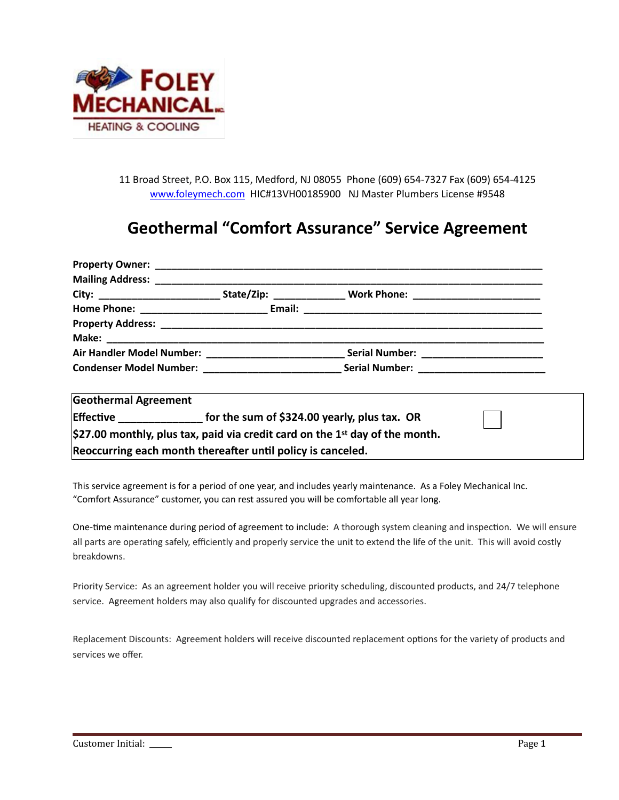

11 Broad Street, P.O. Box 115, Medford, NJ 08055 Phone (609) 654-7327 Fax (609) 654-4125 [www.foleymech.com](http://www.foleymech.com) HIC#13VH00185900 NJ Master Plumbers License #9548

## **Geothermal "Comfort Assurance" Service Agreement**

|                                                                                             |                                                                          | Air Handler Model Number: __________________________________Serial Number: ________________________ |  |  |  |
|---------------------------------------------------------------------------------------------|--------------------------------------------------------------------------|-----------------------------------------------------------------------------------------------------|--|--|--|
|                                                                                             |                                                                          |                                                                                                     |  |  |  |
| <b>Geothermal Agreement</b>                                                                 |                                                                          |                                                                                                     |  |  |  |
|                                                                                             | Effective _________________ for the sum of \$324.00 yearly, plus tax. OR |                                                                                                     |  |  |  |
| $\frac{1}{2}$ (\$27.00 monthly, plus tax, paid via credit card on the 1st day of the month. |                                                                          |                                                                                                     |  |  |  |
| Reoccurring each month thereafter until policy is canceled.                                 |                                                                          |                                                                                                     |  |  |  |

This service agreement is for a period of one year, and includes yearly maintenance. As a Foley Mechanical Inc. "Comfort Assurance" customer, you can rest assured you will be comfortable all year long.

One-time maintenance during period of agreement to include: A thorough system cleaning and inspection. We will ensure all parts are operating safely, efficiently and properly service the unit to extend the life of the unit. This will avoid costly breakdowns.

Priority Service: As an agreement holder you will receive priority scheduling, discounted products, and 24/7 telephone service. Agreement holders may also qualify for discounted upgrades and accessories.

Replacement Discounts: Agreement holders will receive discounted replacement options for the variety of products and services we offer.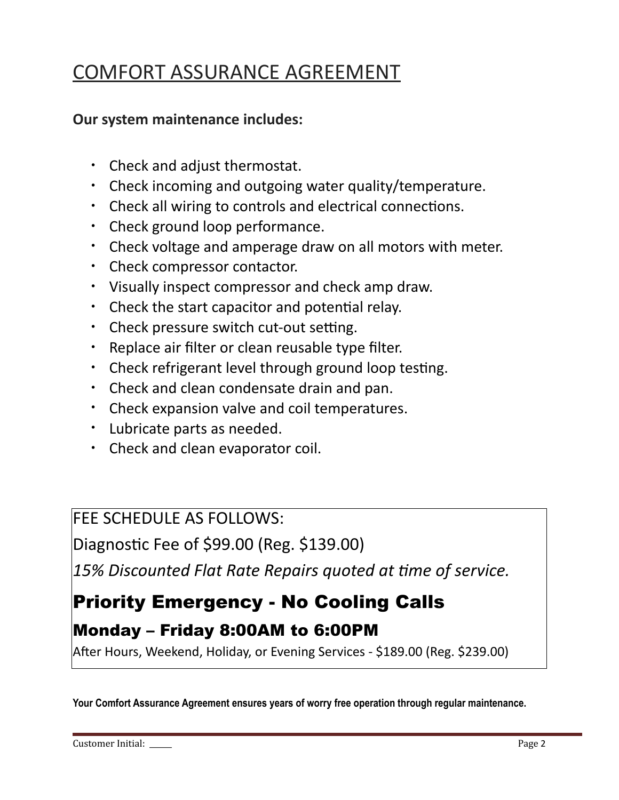# COMFORT ASSURANCE AGREEMENT

### **Our system maintenance includes:**

- Check and adjust thermostat.
- Check incoming and outgoing water quality/temperature.
- Check all wiring to controls and electrical connections.
- Check ground loop performance.
- Check voltage and amperage draw on all motors with meter.
- Check compressor contactor.
- Visually inspect compressor and check amp draw.
- $\cdot$  Check the start capacitor and potential relay.
- Check pressure switch cut-out setting.
- Replace air filter or clean reusable type filter.
- $\cdot$  Check refrigerant level through ground loop testing.
- Check and clean condensate drain and pan.
- Check expansion valve and coil temperatures.
- Lubricate parts as needed.
- Check and clean evaporator coil.

### FEE SCHEDULE AS FOLLOWS:

Diagnostic Fee of \$99.00 (Reg. \$139.00)

15% Discounted Flat Rate Repairs quoted at time of service.

# Priority Emergency - No Cooling Calls

## Monday – Friday 8:00AM to 6:00PM

After Hours, Weekend, Holiday, or Evening Services - \$189.00 (Reg. \$239.00)

**Your Comfort Assurance Agreement ensures years of worry free operation through regular maintenance.**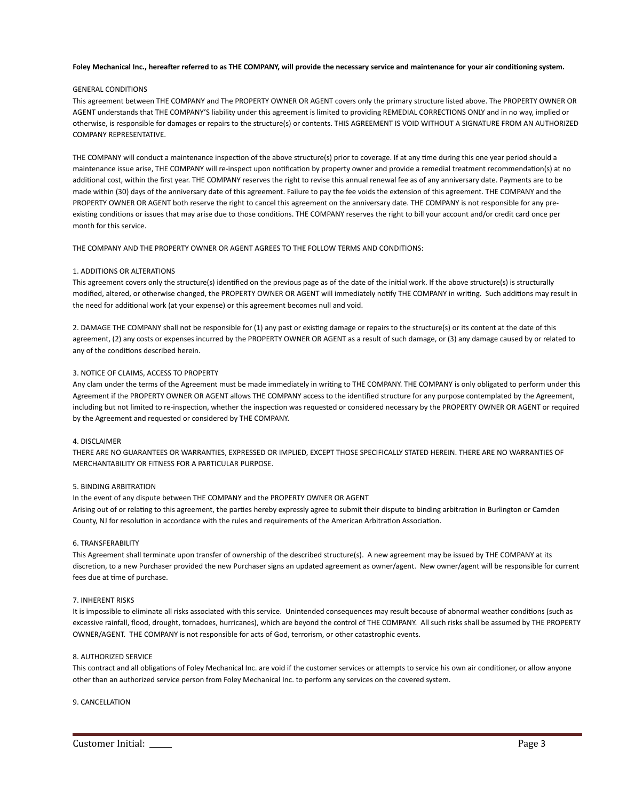#### Foley Mechanical Inc., hereafter referred to as THE COMPANY, will provide the necessary service and maintenance for your air conditioning system.

#### GENERAL CONDITIONS

This agreement between THE COMPANY and The PROPERTY OWNER OR AGENT covers only the primary structure listed above. The PROPERTY OWNER OR AGENT understands that THE COMPANY'S liability under this agreement is limited to providing REMEDIAL CORRECTIONS ONLY and in no way, implied or otherwise, is responsible for damages or repairs to the structure(s) or contents. THIS AGREEMENT IS VOID WITHOUT A SIGNATURE FROM AN AUTHORIZED COMPANY REPRESENTATIVE.

THE COMPANY will conduct a maintenance inspection of the above structure(s) prior to coverage. If at any time during this one year period should a maintenance issue arise, THE COMPANY will re-inspect upon notification by property owner and provide a remedial treatment recommendation(s) at no additional cost, within the first year. THE COMPANY reserves the right to revise this annual renewal fee as of any anniversary date. Payments are to be made within (30) days of the anniversary date of this agreement. Failure to pay the fee voids the extension of this agreement. THE COMPANY and the PROPERTY OWNER OR AGENT both reserve the right to cancel this agreement on the anniversary date. THE COMPANY is not responsible for any preexisting conditions or issues that may arise due to those conditions. THE COMPANY reserves the right to bill your account and/or credit card once per month for this service.

THE COMPANY AND THE PROPERTY OWNER OR AGENT AGREES TO THE FOLLOW TERMS AND CONDITIONS:

#### 1. ADDITIONS OR ALTERATIONS

This agreement covers only the structure(s) identified on the previous page as of the date of the initial work. If the above structure(s) is structurally modified, altered, or otherwise changed, the PROPERTY OWNER OR AGENT will immediately notify THE COMPANY in writing. Such additions may result in the need for additional work (at your expense) or this agreement becomes null and void.

2. DAMAGE THE COMPANY shall not be responsible for (1) any past or existing damage or repairs to the structure(s) or its content at the date of this agreement, (2) any costs or expenses incurred by the PROPERTY OWNER OR AGENT as a result of such damage, or (3) any damage caused by or related to any of the conditions described herein.

#### 3. NOTICE OF CLAIMS, ACCESS TO PROPERTY

Any clam under the terms of the Agreement must be made immediately in writing to THE COMPANY. THE COMPANY is only obligated to perform under this Agreement if the PROPERTY OWNER OR AGENT allows THE COMPANY access to the identified structure for any purpose contemplated by the Agreement, including but not limited to re-inspection, whether the inspection was requested or considered necessary by the PROPERTY OWNER OR AGENT or required by the Agreement and requested or considered by THE COMPANY.

#### 4. DISCLAIMER

THERE ARE NO GUARANTEES OR WARRANTIES, EXPRESSED OR IMPLIED, EXCEPT THOSE SPECIFICALLY STATED HEREIN. THERE ARE NO WARRANTIES OF MERCHANTABILITY OR FITNESS FOR A PARTICULAR PURPOSE.

#### 5. BINDING ARBITRATION

In the event of any dispute between THE COMPANY and the PROPERTY OWNER OR AGENT Arising out of or relating to this agreement, the parties hereby expressly agree to submit their dispute to binding arbitration in Burlington or Camden County, NJ for resolution in accordance with the rules and requirements of the American Arbitration Association.

#### 6. TRANSFERABILITY

This Agreement shall terminate upon transfer of ownership of the described structure(s). A new agreement may be issued by THE COMPANY at its discretion, to a new Purchaser provided the new Purchaser signs an updated agreement as owner/agent. New owner/agent will be responsible for current fees due at time of purchase.

#### 7. INHERENT RISKS

It is impossible to eliminate all risks associated with this service. Unintended consequences may result because of abnormal weather conditions (such as excessive rainfall, flood, drought, tornadoes, hurricanes), which are beyond the control of THE COMPANY. All such risks shall be assumed by THE PROPERTY OWNER/AGENT. THE COMPANY is not responsible for acts of God, terrorism, or other catastrophic events.

#### 8. AUTHORIZED SERVICE

This contract and all obligations of Foley Mechanical Inc. are void if the customer services or attempts to service his own air conditioner, or allow anyone other than an authorized service person from Foley Mechanical Inc. to perform any services on the covered system.

#### 9. CANCELLATION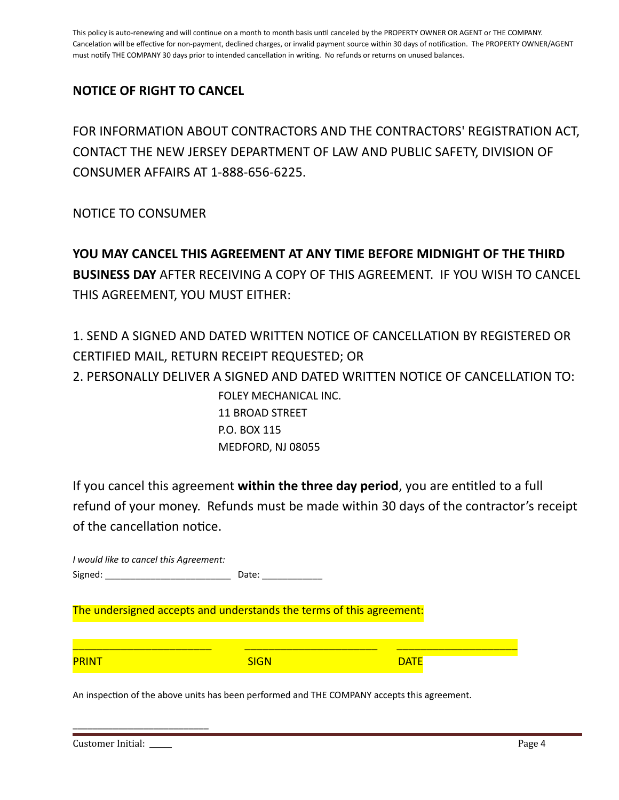This policy is auto-renewing and will continue on a month to month basis until canceled by the PROPERTY OWNER OR AGENT or THE COMPANY. Cancelation will be effective for non-payment, declined charges, or invalid payment source within 30 days of notification. The PROPERTY OWNER/AGENT must notify THE COMPANY 30 days prior to intended cancellation in writing. No refunds or returns on unused balances.

### **NOTICE OF RIGHT TO CANCEL**

FOR INFORMATION ABOUT CONTRACTORS AND THE CONTRACTORS' REGISTRATION ACT, CONTACT THE NEW JERSEY DEPARTMENT OF LAW AND PUBLIC SAFETY, DIVISION OF CONSUMER AFFAIRS AT 1-888-656-6225.

NOTICE TO CONSUMER

**YOU MAY CANCEL THIS AGREEMENT AT ANY TIME BEFORE MIDNIGHT OF THE THIRD BUSINESS DAY** AFTER RECEIVING A COPY OF THIS AGREEMENT. IF YOU WISH TO CANCEL THIS AGREEMENT, YOU MUST EITHER:

1. SEND A SIGNED AND DATED WRITTEN NOTICE OF CANCELLATION BY REGISTERED OR CERTIFIED MAIL, RETURN RECEIPT REQUESTED; OR 2. PERSONALLY DELIVER A SIGNED AND DATED WRITTEN NOTICE OF CANCELLATION TO: FOLEY MECHANICAL INC. 11 BROAD STREET P.O. BOX 115 MEDFORD, NJ 08055

If you cancel this agreement within the three day period, you are entitled to a full refund of your money. Refunds must be made within 30 days of the contractor's receipt of the cancellation notice.

*I would like to cancel this Agreement:*  Signed: \_\_\_\_\_\_\_\_\_\_\_\_\_\_\_\_\_\_\_\_\_\_\_\_\_ Date: \_\_\_\_\_\_\_\_\_\_\_\_ The undersigned accepts and understands the terms of this agreement:

| <b>PRINT</b> | <b>SIGN</b> | <b>DATH</b> |  |
|--------------|-------------|-------------|--|

An inspection of the above units has been performed and THE COMPANY accepts this agreement.

| Customer Initial: | Page 4 |
|-------------------|--------|
|-------------------|--------|

\_\_\_\_\_\_\_\_\_\_\_\_\_\_\_\_\_\_\_\_\_\_\_\_\_\_\_